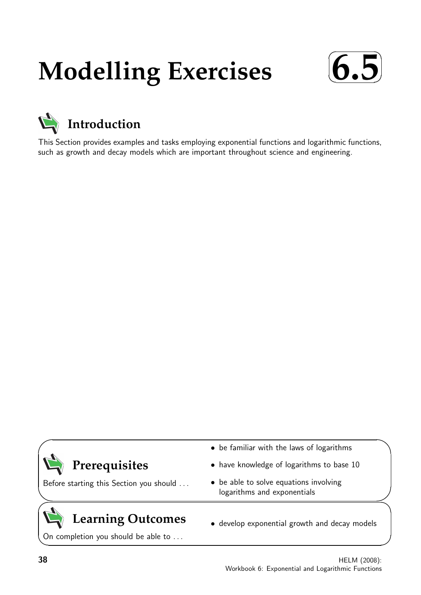# **Modelling Exercises**





This Section provides examples and tasks employing exponential functions and logarithmic functions, such as growth and decay models which are important throughout science and engineering.

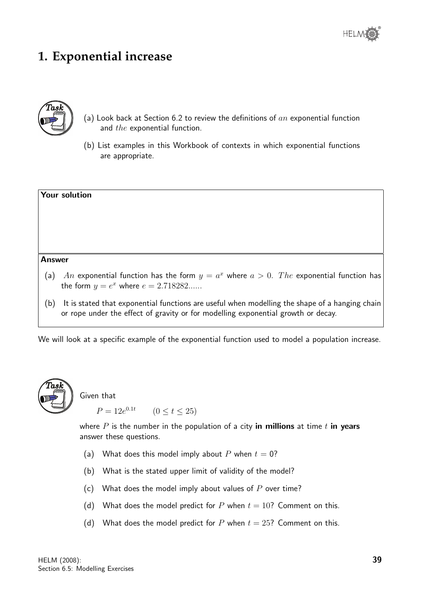# **1. Exponential increase**



- (a) Look back at Section 6.2 to review the definitions of  $an$  exponential function and the exponential function.
- (b) List examples in this Workbook of contexts in which exponential functions are appropriate.

## Your solution

#### Answer

- (a) An exponential function has the form  $y = a^x$  where  $a > 0$ . The exponential function has the form  $y = e^x$  where  $e = 2.718282...$
- (b) It is stated that exponential functions are useful when modelling the shape of a hanging chain or rope under the effect of gravity or for modelling exponential growth or decay.

We will look at a specific example of the exponential function used to model a population increase.



# Given that

 $P = 12e^{0.1t}$   $(0 \le t \le 25)$ 

where  $P$  is the number in the population of a city in millions at time  $t$  in years answer these questions.

- (a) What does this model imply about P when  $t = 0$ ?
- (b) What is the stated upper limit of validity of the model?
- (c) What does the model imply about values of  $P$  over time?
- (d) What does the model predict for P when  $t = 10$ ? Comment on this.
- (d) What does the model predict for P when  $t = 25$ ? Comment on this.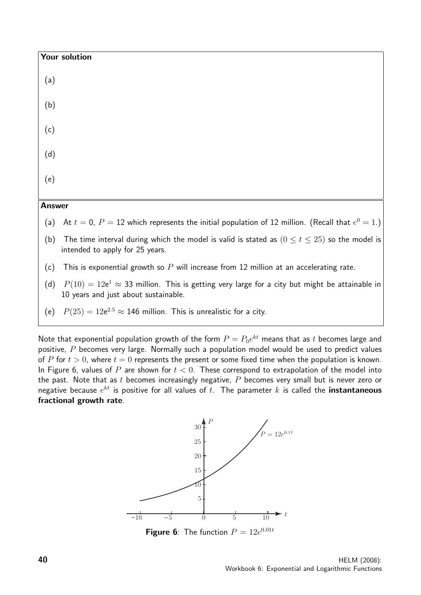|               | Your solution                                                                                                                               |
|---------------|---------------------------------------------------------------------------------------------------------------------------------------------|
| (a)           |                                                                                                                                             |
| (b)           |                                                                                                                                             |
| (c)           |                                                                                                                                             |
| (d)           |                                                                                                                                             |
| (e)           |                                                                                                                                             |
| <b>Answer</b> |                                                                                                                                             |
| (a)           | At $t = 0$ , $P = 12$ which represents the initial population of 12 million. (Recall that $e^0 = 1$ .)                                      |
| (b)           | The time interval during which the model is valid is stated as $(0 \le t \le 25)$ so the model is<br>intended to apply for 25 years.        |
| (c)           | This is exponential growth so $P$ will increase from 12 million at an accelerating rate.                                                    |
| (d)           | $P(10) = 12e1 \approx 33$ million. This is getting very large for a city but might be attainable in<br>10 years and just about sustainable. |
| (e)           | $P(25) = 12e^{2.5} \approx 146$ million. This is unrealistic for a city.                                                                    |

Note that exponential population growth of the form  $P=P_0e^{kt}$  means that as  $t$  becomes large and positive,  $P$  becomes very large. Normally such a population model would be used to predict values of P for  $t > 0$ , where  $t = 0$  represents the present or some fixed time when the population is known. In Figure 6, values of P are shown for  $t < 0$ . These correspond to extrapolation of the model into the past. Note that as t becomes increasingly negative,  $P$  becomes very small but is never zero or negative because  $e^{kt}$  is positive for all values of  $t$ . The parameter  $k$  is called the instantaneous fractional growth rate.



**Figure 6**: The function  $P = 12e^{0.01t}$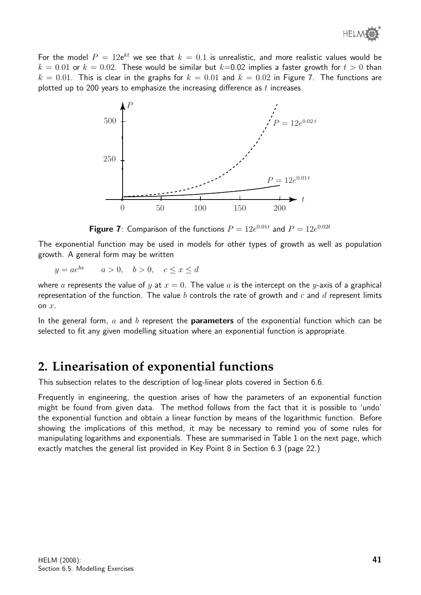

For the model  $P = 12e^{kt}$  we see that  $k = 0.1$  is unrealistic, and more realistic values would be  $k = 0.01$  or  $k = 0.02$ . These would be similar but  $k=0.02$  implies a faster growth for  $t > 0$  than  $k = 0.01$ . This is clear in the graphs for  $k = 0.01$  and  $k = 0.02$  in Figure 7. The functions are plotted up to 200 years to emphasize the increasing difference as  $t$  increases.



**Figure 7**: Comparison of the functions  $P = 12e^{0.01t}$  and  $P = 12e^{0.02t}$ 

The exponential function may be used in models for other types of growth as well as population growth. A general form may be written

$$
y = ae^{bx} \qquad a > 0, \quad b > 0, \quad c \le x \le d
$$

where a represents the value of y at  $x = 0$ . The value a is the intercept on the y-axis of a graphical representation of the function. The value b controls the rate of growth and c and d represent limits on  $x$ .

In the general form,  $a$  and  $b$  represent the **parameters** of the exponential function which can be selected to fit any given modelling situation where an exponential function is appropriate.

# **2. Linearisation of exponential functions**

This subsection relates to the description of log-linear plots covered in Section 6.6.

Frequently in engineering, the question arises of how the parameters of an exponential function might be found from given data. The method follows from the fact that it is possible to 'undo' the exponential function and obtain a linear function by means of the logarithmic function. Before showing the implications of this method, it may be necessary to remind you of some rules for manipulating logarithms and exponentials. These are summarised in Table 1 on the next page, which exactly matches the general list provided in Key Point 8 in Section 6.3 (page 22.)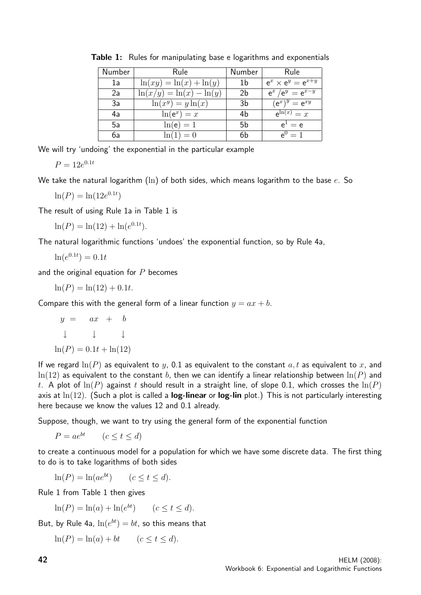| Number | Rule                         | Number         | Rule                       |
|--------|------------------------------|----------------|----------------------------|
| 1a     | $\ln(xy) = \ln(x) + \ln(y)$  | 1b             | $e^x \times e^y = e^{x+y}$ |
| 2a     | $\ln(x/y) = \ln(x) - \ln(y)$ | 2 <sub>b</sub> | $e^x/e^y = e^{x-y}$        |
| 3a     | $\ln(x^y) = y \ln(x)$        | 3b             | $(e^x)^y = e^{xy}$         |
| 4a     | $\ln(e^x) = x$               | 4b             | $\overline{e^{\ln(x)}}=x$  |
| 5а     | $ln(e) = 1$                  | 5b             | $e^1 = e$                  |
| 6a     | $\ln(1) = 0$                 | 6b             | $e^0 = 1$                  |

Table 1: Rules for manipulating base e logarithms and exponentials

We will try 'undoing' the exponential in the particular example

$$
P = 12e^{0.1t}
$$

We take the natural logarithm  $(\text{ln})$  of both sides, which means logarithm to the base e. So

 $\ln(P) = \ln(12e^{0.1t})$ 

The result of using Rule 1a in Table 1 is

 $\ln(P) = \ln(12) + \ln(e^{0.1t}).$ 

The natural logarithmic functions 'undoes' the exponential function, so by Rule 4a,

$$
\ln(e^{0.1t}) = 0.1t
$$

and the original equation for  $P$  becomes

$$
\ln(P) = \ln(12) + 0.1t.
$$

Compare this with the general form of a linear function  $y = ax + b$ .

$$
y = ax + b
$$
  

$$
\downarrow \qquad \downarrow \qquad \downarrow
$$
  

$$
\ln(P) = 0.1t + \ln(12)
$$

If we regard  $\ln(P)$  as equivalent to y, 0.1 as equivalent to the constant  $a, t$  as equivalent to x, and  $\ln(12)$  as equivalent to the constant b, then we can identify a linear relationship between  $\ln(P)$  and t. A plot of  $\ln(P)$  against t should result in a straight line, of slope 0.1, which crosses the  $\ln(P)$ axis at  $ln(12)$ . (Such a plot is called a **log-linear** or **log-lin** plot.) This is not particularly interesting here because we know the values 12 and 0.1 already.

Suppose, though, we want to try using the general form of the exponential function

 $P = ae^{bt}$   $(c < t < d)$ 

to create a continuous model for a population for which we have some discrete data. The first thing to do is to take logarithms of both sides

$$
\ln(P) = \ln(a e^{bt}) \qquad (c \le t \le d).
$$

Rule 1 from Table 1 then gives

$$
\ln(P) = \ln(a) + \ln(e^{bt}) \qquad (c \le t \le d).
$$

But, by Rule 4a,  $\ln(e^{bt}) = bt$ , so this means that

$$
\ln(P) = \ln(a) + bt \qquad (c \le t \le d).
$$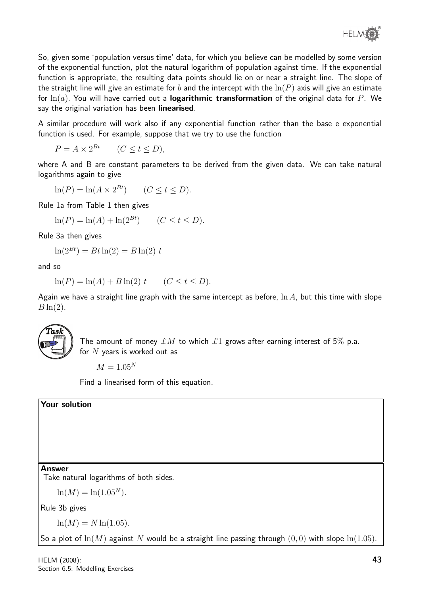

So, given some 'population versus time' data, for which you believe can be modelled by some version of the exponential function, plot the natural logarithm of population against time. If the exponential function is appropriate, the resulting data points should lie on or near a straight line. The slope of the straight line will give an estimate for b and the intercept with the  $\ln(P)$  axis will give an estimate for  $\ln(a)$ . You will have carried out a logarithmic transformation of the original data for P. We say the original variation has been linearised.

A similar procedure will work also if any exponential function rather than the base e exponential function is used. For example, suppose that we try to use the function

$$
P = A \times 2^{Bt} \qquad (C \le t \le D),
$$

where A and B are constant parameters to be derived from the given data. We can take natural logarithms again to give

$$
\ln(P) = \ln(A \times 2^{Bt}) \qquad (C \le t \le D).
$$

Rule 1a from Table 1 then gives

$$
\ln(P) = \ln(A) + \ln(2^{Bt}) \qquad (C \le t \le D).
$$

Rule 3a then gives

$$
\ln(2^{Bt}) = Bt \ln(2) = B \ln(2) t
$$

and so

$$
\ln(P) = \ln(A) + B\ln(2) t \qquad (C \le t \le D).
$$

Again we have a straight line graph with the same intercept as before,  $\ln A$ , but this time with slope  $B \ln(2)$ .



The amount of money  $\mathcal{L}M$  to which  $\mathcal{L}1$  grows after earning interest of 5% p.a. for  $N$  years is worked out as

 $M = 1.05^{N}$ 

Find a linearised form of this equation.

#### Your solution

#### Answer

Take natural logarithms of both sides.

 $ln(M) = ln(1.05^N).$ 

Rule 3b gives

 $ln(M) = N ln(1.05)$ .

So a plot of  $ln(M)$  against N would be a straight line passing through  $(0,0)$  with slope  $ln(1.05)$ .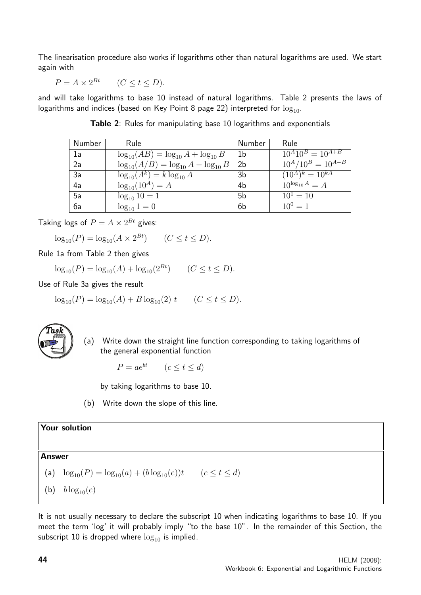The linearisation procedure also works if logarithms other than natural logarithms are used. We start again with

 $P = A \times 2^{Bt}$  $(C < t < D).$ 

and will take logarithms to base 10 instead of natural logarithms. Table 2 presents the laws of logarithms and indices (based on Key Point 8 page 22) interpreted for  $log_{10}$ .

| Number | Rule                                         | Number         | Rule                   |
|--------|----------------------------------------------|----------------|------------------------|
| 1a     | $\log_{10}(AB) = \log_{10} A + \log_{10} B$  | 1b             | $10^A 10^B = 10^{A+B}$ |
| 2a     | $\log_{10}(A/B) = \log_{10} A - \log_{10} B$ | 2 <sub>b</sub> | $10^A/10^B = 10^{A-B}$ |
| 3a     | $\log_{10}(A^k) = k \log_{10} A$             | 3 <sub>b</sub> | $(10^A)^k = 10^{kA}$   |
| 4a     | $\log_{10}(10^A) = \overline{A}$             | 4b             | $10^{\log_{10} A} = A$ |
| 5a     | $\log_{10} 10 = 1$                           | 5 <sub>b</sub> | $10^1 = 10$            |
| 6a     | $\log_{10} 1 = 0$                            | 6b             | $10^0 = 1$             |

Table 2: Rules for manipulating base 10 logarithms and exponentials

Taking logs of  $P = A \times 2^{Bt}$  gives:

$$
\log_{10}(P) = \log_{10}(A \times 2^{Bt}) \qquad (C \le t \le D).
$$

Rule 1a from Table 2 then gives

 $\log_{10}(P) = \log_{10}(A) + \log_{10}(2^{Bt})$  ( $C \le t \le D$ ).

Use of Rule 3a gives the result

 $\log_{10}(P) = \log_{10}(A) + B \log_{10}(2) t \qquad (C \le t \le D).$ 



(a) Write down the straight line function corresponding to taking logarithms of the general exponential function

 $P = ae^{bt}$   $(c < t < d)$ 

by taking logarithms to base 10.

(b) Write down the slope of this line.

## Your solution

#### Answer

(a) 
$$
\log_{10}(P) = \log_{10}(a) + (b \log_{10}(e))t
$$
  $(c \le t \le d)$ 

(b)  $b \log_{10}(e)$ 

It is not usually necessary to declare the subscript 10 when indicating logarithms to base 10. If you meet the term 'log' it will probably imply "to the base 10". In the remainder of this Section, the subscript 10 is dropped where  $log_{10}$  is implied.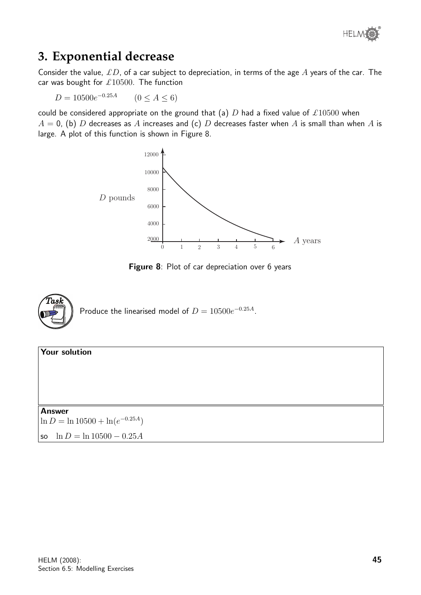

# **3. Exponential decrease**

Consider the value,  $\pounds D$ , of a car subject to depreciation, in terms of the age  $A$  years of the car. The car was bought for  $\pounds 10500$ . The function

 $D = 10500e^{-0.25A}$  $(0 < A < 6)$ 

could be considered appropriate on the ground that (a)  $D$  had a fixed value of  $\pounds 10500$  when  $A = 0$ , (b) D decreases as A increases and (c) D decreases faster when A is small than when A is large. A plot of this function is shown in Figure 8.



Figure 8: Plot of car depreciation over 6 years



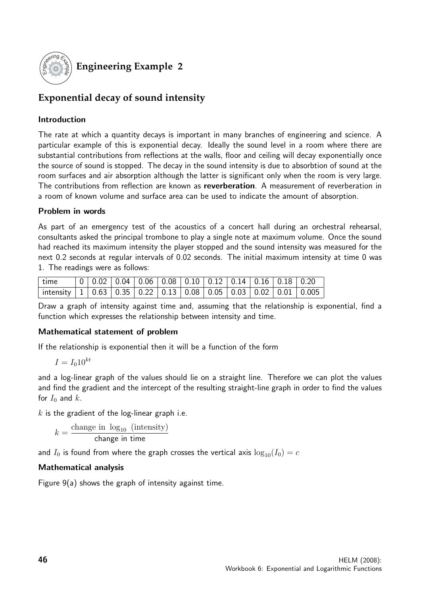

# **Engineering Example 2**

# **Exponential decay of sound intensity**

## Introduction

The rate at which a quantity decays is important in many branches of engineering and science. A particular example of this is exponential decay. Ideally the sound level in a room where there are substantial contributions from reflections at the walls, floor and ceiling will decay exponentially once the source of sound is stopped. The decay in the sound intensity is due to absorbtion of sound at the room surfaces and air absorption although the latter is significant only when the room is very large. The contributions from reflection are known as reverberation. A measurement of reverberation in a room of known volume and surface area can be used to indicate the amount of absorption.

## Problem in words

As part of an emergency test of the acoustics of a concert hall during an orchestral rehearsal, consultants asked the principal trombone to play a single note at maximum volume. Once the sound had reached its maximum intensity the player stopped and the sound intensity was measured for the next 0.2 seconds at regular intervals of 0.02 seconds. The initial maximum intensity at time 0 was 1. The readings were as follows:

| $^\dagger$ time                                                                                                                                                                                                       | $\vert 0 \vert 0.02 \vert 0.04 \vert 0.06 \vert 0.08 \vert 0.10 \vert 0.12 \vert 0.14 \vert 0.16 \vert 0.18 \vert 0.20$ |  |  |  |  |  |
|-----------------------------------------------------------------------------------------------------------------------------------------------------------------------------------------------------------------------|-------------------------------------------------------------------------------------------------------------------------|--|--|--|--|--|
| $\frac{1}{2}$ intensity $\left[\right.1\left[\right.063\left.\right.035\left.\right.022\left.\right.013\left.\right.008\left.\right.0.05\left.\right.0.03\left.\right.0.02\left.\right.0.01\left.\right.0.005\right]$ |                                                                                                                         |  |  |  |  |  |

Draw a graph of intensity against time and, assuming that the relationship is exponential, find a function which expresses the relationship between intensity and time.

## Mathematical statement of problem

If the relationship is exponential then it will be a function of the form

$$
I=I_010^{kt}
$$

and a log-linear graph of the values should lie on a straight line. Therefore we can plot the values and find the gradient and the intercept of the resulting straight-line graph in order to find the values for  $I_0$  and  $k$ .

 $k$  is the gradient of the log-linear graph i.e.

$$
k = \frac{\text{change in } \log_{10} \text{ (intensity)}}{\text{change in time}}
$$

and  $I_0$  is found from where the graph crosses the vertical axis  $\log_{10}(I_0) = c$ 

## Mathematical analysis

Figure 9(a) shows the graph of intensity against time.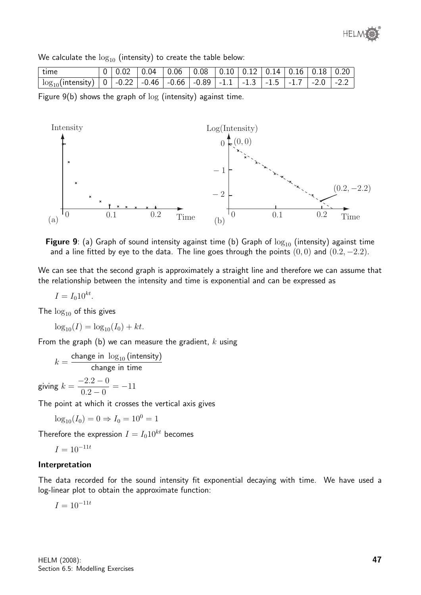

We calculate the  $\log_{10}$  (intensity) to create the table below:

| $\vert$ time                                                                                        | $\mid$ 0 $\mid$ 0.02 $\mid$ 0.04 $\mid$ 0.06 $\mid$ 0.08 $\mid$ 0. $\overline{10}$ $\mid$ 0.12 $\mid$ 0.14 $\mid$ 0.16 $\mid$ 0.18 $\mid$ 0.20 $\mid$ |  |  |  |  |  |
|-----------------------------------------------------------------------------------------------------|-------------------------------------------------------------------------------------------------------------------------------------------------------|--|--|--|--|--|
| $\frac{1}{2}$ log <sub>10</sub> (intensity) 0 -0.22 -0.46 -0.66 -0.89 -1.1 -1.3 -1.5 -1.7 -2.0 -2.2 |                                                                                                                                                       |  |  |  |  |  |

Figure  $9(b)$  shows the graph of  $log$  (intensity) against time.



Figure 9: (a) Graph of sound intensity against time (b) Graph of  $\log_{10}$  (intensity) against time and a line fitted by eye to the data. The line goes through the points  $(0, 0)$  and  $(0.2, -2.2)$ .

We can see that the second graph is approximately a straight line and therefore we can assume that the relationship between the intensity and time is exponential and can be expressed as

$$
I = I_0 10^{kt}.
$$

The  $log_{10}$  of this gives

 $\log_{10}(I) = \log_{10}(I_0) + kt.$ 

From the graph (b) we can measure the gradient,  $k$  using

$$
k = \frac{\text{change in } \log_{10}(\text{intensity})}{\text{change in time}}
$$
  
giving 
$$
k = \frac{-2.2 - 0}{0.2 - 0} = -11
$$

The point at which it crosses the vertical axis gives

 $\log_{10}(I_0) = 0 \Rightarrow I_0 = 10^0 = 1$ 

Therefore the expression  $I = I_0 10^{kt}$  becomes

$$
I = 10^{-11t}
$$

#### Interpretation

The data recorded for the sound intensity fit exponential decaying with time. We have used a log-linear plot to obtain the approximate function:

 $I = 10^{-11t}$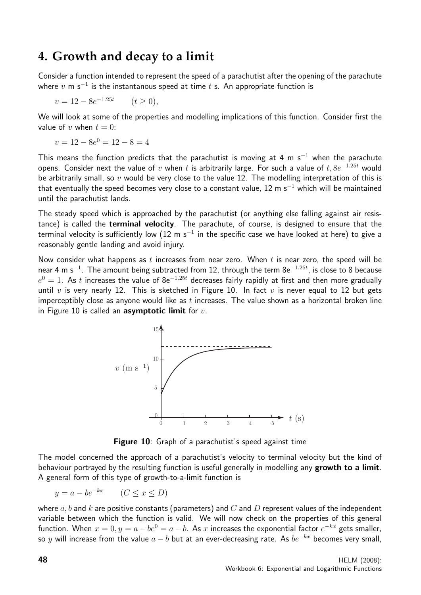# **4. Growth and decay to a limit**

Consider a function intended to represent the speed of a parachutist after the opening of the parachute where  $v$  m s $^{-1}$  is the instantanous speed at time  $t$  s. An appropriate function is

 $v = 12 - 8e^{-1.25t}$   $(t \ge 0),$ 

We will look at some of the properties and modelling implications of this function. Consider first the value of v when  $t = 0$ :

 $v = 12 - 8e^0 = 12 - 8 = 4$ 

This means the function predicts that the parachutist is moving at 4 m s<sup>-1</sup> when the parachute opens. Consider next the value of  $v$  when  $t$  is arbitrarily large. For such a value of  $t,8e^{-1.25t}$  would be arbitrarily small, so  $v$  would be very close to the value 12. The modelling interpretation of this is that eventually the speed becomes very close to a constant value, 12 m s<sup>-1</sup> which will be maintained until the parachutist lands.

The steady speed which is approached by the parachutist (or anything else falling against air resistance) is called the **terminal velocity**. The parachute, of course, is designed to ensure that the terminal velocity is sufficiently low (12 m s $^{-1}$  in the specific case we have looked at here) to give a reasonably gentle landing and avoid injury.

Now consider what happens as t increases from near zero. When t is near zero, the speed will be near 4 m s<sup>-1</sup>. The amount being subtracted from 12, through the term 8e<sup>-1.25t</sup>, is close to 8 because  $e^0=1.$  As  $t$  increases the value of 8e $^{-1.25t}$  decreases fairly rapidly at first and then more gradually until v is very nearly 12. This is sketched in Figure 10. In fact v is never equal to 12 but gets imperceptibly close as anyone would like as  $t$  increases. The value shown as a horizontal broken line in Figure 10 is called an **asymptotic limit** for  $v$ .



Figure 10: Graph of a parachutist's speed against time

The model concerned the approach of a parachutist's velocity to terminal velocity but the kind of behaviour portrayed by the resulting function is useful generally in modelling any growth to a limit. A general form of this type of growth-to-a-limit function is

$$
y = a - be^{-kx} \qquad (C \le x \le D)
$$

where  $a, b$  and  $k$  are positive constants (parameters) and  $C$  and  $D$  represent values of the independent variable between which the function is valid. We will now check on the properties of this general function. When  $x=0, y=a-be^0=a-b.$  As  $x$  increases the exponential factor  $e^{-kx}$  gets smaller, so y will increase from the value  $a - b$  but at an ever-decreasing rate. As  $be^{-kx}$  becomes very small,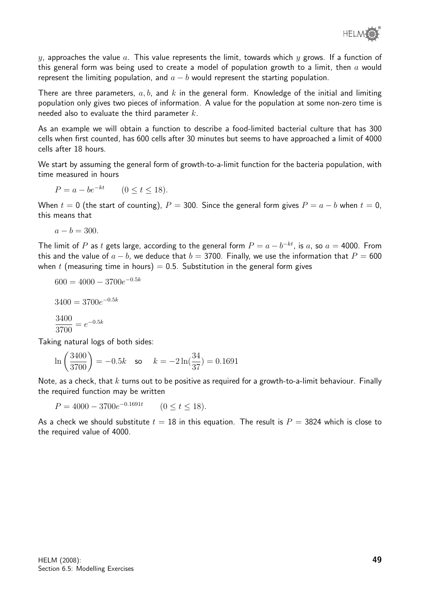y, approaches the value  $a$ . This value represents the limit, towards which y grows. If a function of this general form was being used to create a model of population growth to a limit, then  $a$  would represent the limiting population, and  $a - b$  would represent the starting population.

There are three parameters,  $a, b$ , and k in the general form. Knowledge of the initial and limiting population only gives two pieces of information. A value for the population at some non-zero time is needed also to evaluate the third parameter  $k$ .

As an example we will obtain a function to describe a food-limited bacterial culture that has 300 cells when first counted, has 600 cells after 30 minutes but seems to have approached a limit of 4000 cells after 18 hours.

We start by assuming the general form of growth-to-a-limit function for the bacteria population, with time measured in hours

 $P = a - be^{-kt}$  (0 ≤ t ≤ 18).

When  $t = 0$  (the start of counting),  $P = 300$ . Since the general form gives  $P = a - b$  when  $t = 0$ . this means that

$$
a - b = 300.
$$

The limit of  $P$  as  $t$  gets large, according to the general form  $P=a-b^{-kt}$ , is  $a$ , so  $a=4000$ . From this and the value of  $a - b$ , we deduce that  $b = 3700$ . Finally, we use the information that  $P = 600$ when t (measuring time in hours) = 0.5. Substitution in the general form gives

$$
600 = 4000 - 3700e^{-0.5k}
$$

$$
3400 = 3700e^{-0.5k}
$$

$$
\frac{3400}{3700} = e^{-0.5k}
$$

Taking natural logs of both sides:

$$
\ln\left(\frac{3400}{3700}\right) = -0.5k \quad \text{so} \quad k = -2\ln\left(\frac{34}{37}\right) = 0.1691
$$

Note, as a check, that  $k$  turns out to be positive as required for a growth-to-a-limit behaviour. Finally the required function may be written

$$
P = 4000 - 3700e^{-0.1691t} \qquad (0 \le t \le 18).
$$

As a check we should substitute  $t = 18$  in this equation. The result is  $P = 3824$  which is close to the required value of 4000.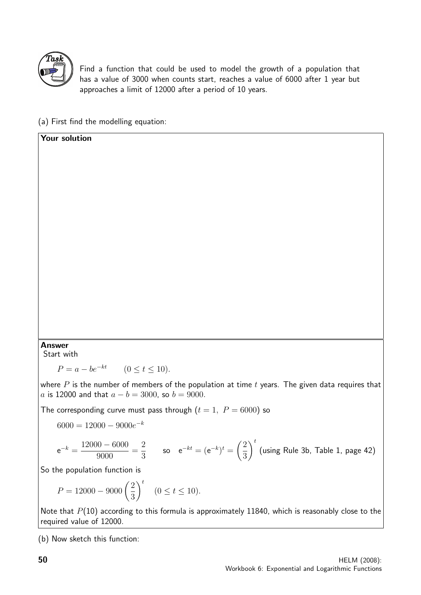

Your solution

Find a function that could be used to model the growth of a population that has a value of 3000 when counts start, reaches a value of 6000 after 1 year but approaches a limit of 12000 after a period of 10 years.

(a) First find the modelling equation:

## Answer

Start with

 $P = a - be^{-kt}$  (0 < t < 10).

where  $P$  is the number of members of the population at time  $t$  years. The given data requires that a is 12000 and that  $a - b = 3000$ , so  $b = 9000$ .

The corresponding curve must pass through  $(t = 1, P = 6000)$  so

 $6000 = 12000 - 9000e^{-k}$ 

$$
{\rm e}^{-k} = \frac{12000-6000}{9000} = \frac{2}{3} \qquad \text{so} \quad {\rm e}^{-kt} = ({\rm e}^{-k})^t = \left(\frac{2}{3}\right)^t \text{ (using Rule 3b, Table 1, page 42)}
$$

So the population function is

$$
P = 12000 - 9000 \left(\frac{2}{3}\right)^t \quad (0 \le t \le 10).
$$

Note that  $P(10)$  according to this formula is approximately 11840, which is reasonably close to the required value of 12000.

(b) Now sketch this function: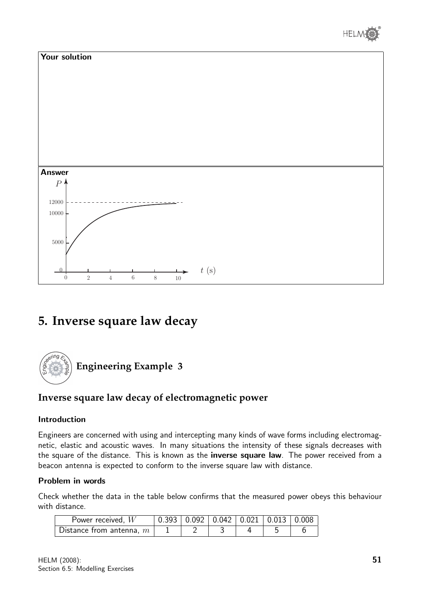



# **5. Inverse square law decay**



# **Inverse square law decay of electromagnetic power**

## Introduction

Engineers are concerned with using and intercepting many kinds of wave forms including electromagnetic, elastic and acoustic waves. In many situations the intensity of these signals decreases with the square of the distance. This is known as the *inverse square law*. The power received from a beacon antenna is expected to conform to the inverse square law with distance.

## Problem in words

Check whether the data in the table below confirms that the measured power obeys this behaviour with distance.

| Power received, $W$        | $0.393$   $0.092$   $0.042$   $0.021$   $0.013$   $0.008$ |  |  |
|----------------------------|-----------------------------------------------------------|--|--|
| Distance from antenna, $m$ |                                                           |  |  |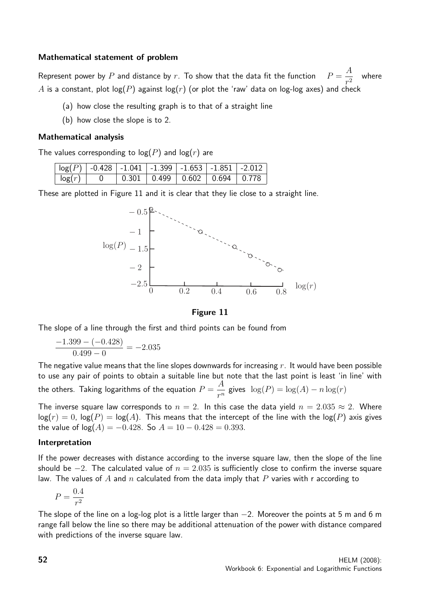#### Mathematical statement of problem

Represent power by  $P$  and distance by  $r$ . To show that the data fit the function A  $\frac{1}{r^2}$  where A is a constant, plot  $log(P)$  against  $log(r)$  (or plot the 'raw' data on log-log axes) and check

- (a) how close the resulting graph is to that of a straight line
- (b) how close the slope is to 2.

#### Mathematical analysis

The values corresponding to  $log(P)$  and  $log(r)$  are

| $\lceil \log(P) \rceil$ -0.428 -1.041 -1.399 -1.653 -1.851 -2.012 |  |  |  |
|-------------------------------------------------------------------|--|--|--|
|                                                                   |  |  |  |

These are plotted in Figure 11 and it is clear that they lie close to a straight line.



#### Figure 11

The slope of a line through the first and third points can be found from

$$
\frac{-1.399 - (-0.428)}{0.499 - 0} = -2.035
$$

The negative value means that the line slopes downwards for increasing  $r$ . It would have been possible to use any pair of points to obtain a suitable line but note that the last point is least 'in line' with the others. Taking logarithms of the equation  $P=$ A  $\frac{1}{r^n}$  gives  $\log(P) = \log(A) - n \log(r)$ 

The inverse square law corresponds to  $n = 2$ . In this case the data yield  $n = 2.035 \approx 2$ . Where  $log(r) = 0$ ,  $log(P) = log(A)$ . This means that the intercept of the line with the  $log(P)$  axis gives the value of  $log(A) = -0.428$ . So  $A = 10 - 0.428 = 0.393$ .

#### Interpretation

If the power decreases with distance according to the inverse square law, then the slope of the line should be  $-2$ . The calculated value of  $n = 2.035$  is sufficiently close to confirm the inverse square law. The values of A and n calculated from the data imply that P varies with r according to

$$
P = \frac{0.4}{r^2}
$$

The slope of the line on a log-log plot is a little larger than  $-2$ . Moreover the points at 5 m and 6 m range fall below the line so there may be additional attenuation of the power with distance compared with predictions of the inverse square law.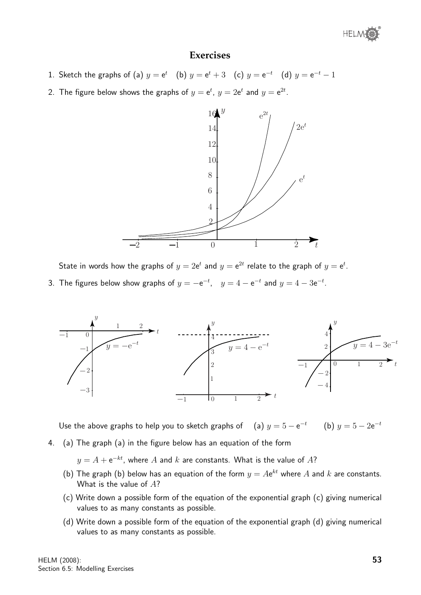# **Exercises**

- 1. Sketch the graphs of (a)  $y = e^t$  (b)  $y = e^t + 3$  (c)  $y = e^{-t}$  (d)  $y = e^{-t} 1$
- 2. The figure below shows the graphs of  $y = e^t$ ,  $y = 2e^t$  and  $y = e^{2t}$ .



State in words how the graphs of  $y = 2e^t$  and  $y = e^{2t}$  relate to the graph of  $y = e^t$ . 3. The figures below show graphs of  $y = -e^{-t}$ ,  $y = 4 - e^{-t}$  and  $y = 4 - 3e^{-t}$ .



Use the above graphs to help you to sketch graphs of (a)  $y = 5 - e^{-t}$  (b)  $y = 5 - 2e^{-t}$ 

4. (a) The graph (a) in the figure below has an equation of the form

 $y = A + \mathsf{e}^{-kt}$ , where  $A$  and  $k$  are constants. What is the value of  $A?$ 

- (b) The graph (b) below has an equation of the form  $y=A{\rm e}^{kt}$  where  $A$  and  $k$  are constants. What is the value of  $A$ ?
- (c) Write down a possible form of the equation of the exponential graph (c) giving numerical values to as many constants as possible.
- (d) Write down a possible form of the equation of the exponential graph (d) giving numerical values to as many constants as possible.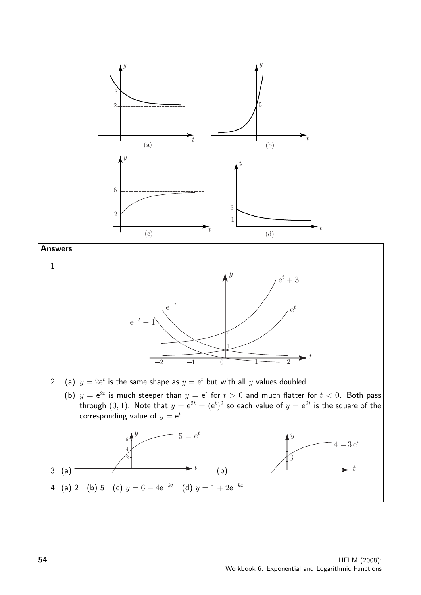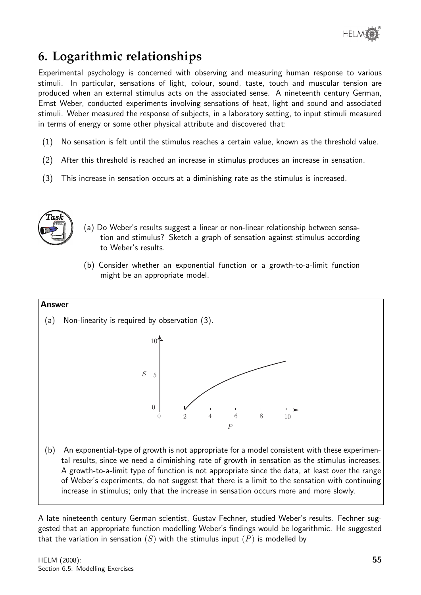![](_page_17_Picture_0.jpeg)

# **6. Logarithmic relationships**

Experimental psychology is concerned with observing and measuring human response to various stimuli. In particular, sensations of light, colour, sound, taste, touch and muscular tension are produced when an external stimulus acts on the associated sense. A nineteenth century German, Ernst Weber, conducted experiments involving sensations of heat, light and sound and associated stimuli. Weber measured the response of subjects, in a laboratory setting, to input stimuli measured in terms of energy or some other physical attribute and discovered that:

- (1) No sensation is felt until the stimulus reaches a certain value, known as the threshold value.
- (2) After this threshold is reached an increase in stimulus produces an increase in sensation.
- (3) This increase in sensation occurs at a diminishing rate as the stimulus is increased.

![](_page_17_Picture_6.jpeg)

- (a) Do Weber's results suggest a linear or non-linear relationship between sensation and stimulus? Sketch a graph of sensation against stimulus according to Weber's results.
- (b) Consider whether an exponential function or a growth-to-a-limit function might be an appropriate model.

#### Answer

![](_page_17_Figure_10.jpeg)

tal results, since we need a diminishing rate of growth in sensation as the stimulus increases. A growth-to-a-limit type of function is not appropriate since the data, at least over the range of Weber's experiments, do not suggest that there is a limit to the sensation with continuing increase in stimulus; only that the increase in sensation occurs more and more slowly.

A late nineteenth century German scientist, Gustav Fechner, studied Weber's results. Fechner suggested that an appropriate function modelling Weber's findings would be logarithmic. He suggested that the variation in sensation  $(S)$  with the stimulus input  $(P)$  is modelled by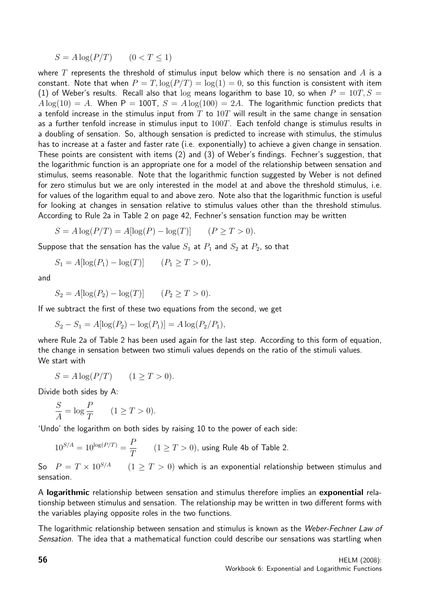$S = A \log(P/T)$  (0 < T < 1)

where T represents the threshold of stimulus input below which there is no sensation and A is a constant. Note that when  $P = T$ ,  $\log(P/T) = \log(1) = 0$ , so this function is consistent with item (1) of Weber's results. Recall also that log means logarithm to base 10, so when  $P = 10T, S =$  $A \log(10) = A$ . When P = 100T,  $S = A \log(100) = 2A$ . The logarithmic function predicts that a tenfold increase in the stimulus input from  $T$  to  $10T$  will result in the same change in sensation as a further tenfold increase in stimulus input to  $100T$ . Each tenfold change is stimulus results in a doubling of sensation. So, although sensation is predicted to increase with stimulus, the stimulus has to increase at a faster and faster rate (i.e. exponentially) to achieve a given change in sensation. These points are consistent with items (2) and (3) of Weber's findings. Fechner's suggestion, that the logarithmic function is an appropriate one for a model of the relationship between sensation and stimulus, seems reasonable. Note that the logarithmic function suggested by Weber is not defined for zero stimulus but we are only interested in the model at and above the threshold stimulus, i.e. for values of the logarithm equal to and above zero. Note also that the logarithmic function is useful for looking at changes in sensation relative to stimulus values other than the threshold stimulus. According to Rule 2a in Table 2 on page 42, Fechner's sensation function may be written

$$
S = A \log(P/T) = A[\log(P) - \log(T)] \qquad (P \ge T > 0).
$$

Suppose that the sensation has the value  $S_1$  at  $P_1$  and  $S_2$  at  $P_2$ , so that

$$
S_1 = A[\log(P_1) - \log(T)] \qquad (P_1 \ge T > 0),
$$

and

$$
S_2 = A[\log(P_2) - \log(T)] \qquad (P_2 \ge T > 0).
$$

If we subtract the first of these two equations from the second, we get

$$
S_2 - S_1 = A[\log(P_2) - \log(P_1)] = A \log(P_2/P_1),
$$

where Rule 2a of Table 2 has been used again for the last step. According to this form of equation, the change in sensation between two stimuli values depends on the ratio of the stimuli values. We start with

$$
S = A \log(P/T) \qquad (1 \ge T > 0).
$$

Divide both sides by A:

$$
\frac{S}{A} = \log \frac{P}{T} \qquad (1 \ge T > 0).
$$

'Undo' the logarithm on both sides by raising 10 to the power of each side:

$$
10^{S/A} = 10^{\log(P/T)} = \frac{P}{T}
$$
 (1 \ge T > 0), using Rule 4b of Table 2.

So  $P = T \times 10^{S/A}$  (1  $\geq T > 0$ ) which is an exponential relationship between stimulus and sensation.

A logarithmic relationship between sensation and stimulus therefore implies an exponential relationship between stimulus and sensation. The relationship may be written in two different forms with the variables playing opposite roles in the two functions.

The logarithmic relationship between sensation and stimulus is known as the Weber-Fechner Law of Sensation. The idea that a mathematical function could describe our sensations was startling when